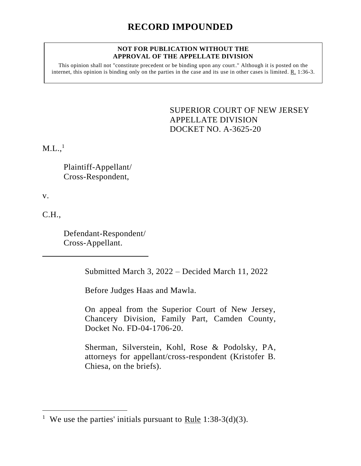#### **NOT FOR PUBLICATION WITHOUT THE APPROVAL OF THE APPELLATE DIVISION**

This opinion shall not "constitute precedent or be binding upon any court." Although it is posted on the internet, this opinion is binding only on the parties in the case and its use in other cases is limited. R. 1:36-3.

> <span id="page-0-0"></span>SUPERIOR COURT OF NEW JERSEY APPELLATE DIVISION DOCKET NO. A-3625-20

 $\rm M.L.,^{1}$ 

Plaintiff-Appellant/ Cross-Respondent,

v.

C.H.,

Defendant-Respondent/ Cross-Appellant.

Submitted March 3, 2022 – Decided March 11, 2022

Before Judges Haas and Mawla.

On appeal from the Superior Court of New Jersey, Chancery Division, Family Part, Camden County, Docket No. FD-04-1706-20.

Sherman, Silverstein, Kohl, Rose & Podolsky, PA, attorneys for appellant/cross-respondent (Kristofer B. Chiesa, on the briefs).

<sup>&</sup>lt;sup>1</sup> We use the parties' initials pursuant to Rule 1:38-3(d)(3).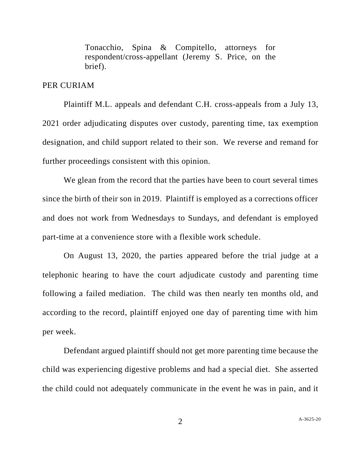Tonacchio, Spina & Compitello, attorneys for respondent/cross-appellant (Jeremy S. Price, on the brief).

## PER CURIAM

Plaintiff M.L. appeals and defendant C.H. cross-appeals from a July 13, 2021 order adjudicating disputes over custody, parenting time, tax exemption designation, and child support related to their son. We reverse and remand for further proceedings consistent with this opinion.

We glean from the record that the parties have been to court several times since the birth of their son in 2019. Plaintiff is employed as a corrections officer and does not work from Wednesdays to Sundays, and defendant is employed part-time at a convenience store with a flexible work schedule.

On August 13, 2020, the parties appeared before the trial judge at a telephonic hearing to have the court adjudicate custody and parenting time following a failed mediation. The child was then nearly ten months old, and according to the record, plaintiff enjoyed one day of parenting time with him per week.

Defendant argued plaintiff should not get more parenting time because the child was experiencing digestive problems and had a special diet. She asserted the child could not adequately communicate in the event he was in pain, and it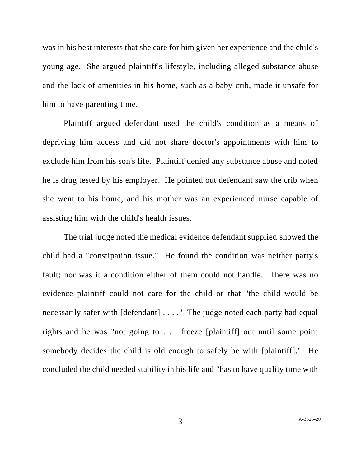was in his best interests that she care for him given her experience and the child's young age. She argued plaintiff's lifestyle, including alleged substance abuse and the lack of amenities in his home, such as a baby crib, made it unsafe for him to have parenting time.

Plaintiff argued defendant used the child's condition as a means of depriving him access and did not share doctor's appointments with him to exclude him from his son's life. Plaintiff denied any substance abuse and noted he is drug tested by his employer. He pointed out defendant saw the crib when she went to his home, and his mother was an experienced nurse capable of assisting him with the child's health issues.

The trial judge noted the medical evidence defendant supplied showed the child had a "constipation issue." He found the condition was neither party's fault; nor was it a condition either of them could not handle. There was no evidence plaintiff could not care for the child or that "the child would be necessarily safer with [defendant] . . . ." The judge noted each party had equal rights and he was "not going to . . . freeze [plaintiff] out until some point somebody decides the child is old enough to safely be with [plaintiff]." He concluded the child needed stability in his life and "has to have quality time with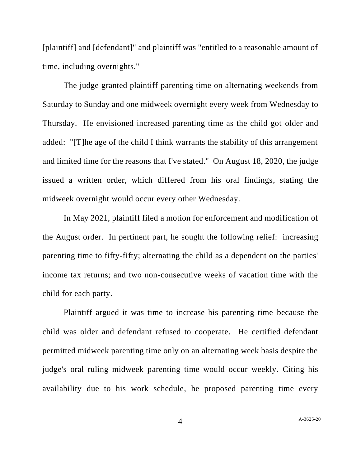[plaintiff] and [defendant]" and plaintiff was "entitled to a reasonable amount of time, including overnights."

The judge granted plaintiff parenting time on alternating weekends from Saturday to Sunday and one midweek overnight every week from Wednesday to Thursday. He envisioned increased parenting time as the child got older and added: "[T]he age of the child I think warrants the stability of this arrangement and limited time for the reasons that I've stated." On August 18, 2020, the judge issued a written order, which differed from his oral findings, stating the midweek overnight would occur every other Wednesday.

In May 2021, plaintiff filed a motion for enforcement and modification of the August order. In pertinent part, he sought the following relief: increasing parenting time to fifty-fifty; alternating the child as a dependent on the parties' income tax returns; and two non-consecutive weeks of vacation time with the child for each party.

Plaintiff argued it was time to increase his parenting time because the child was older and defendant refused to cooperate. He certified defendant permitted midweek parenting time only on an alternating week basis despite the judge's oral ruling midweek parenting time would occur weekly. Citing his availability due to his work schedule, he proposed parenting time every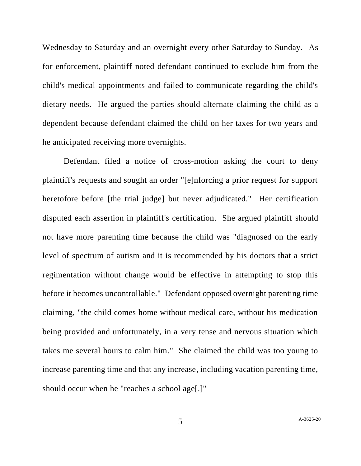Wednesday to Saturday and an overnight every other Saturday to Sunday. As for enforcement, plaintiff noted defendant continued to exclude him from the child's medical appointments and failed to communicate regarding the child's dietary needs. He argued the parties should alternate claiming the child as a dependent because defendant claimed the child on her taxes for two years and he anticipated receiving more overnights.

Defendant filed a notice of cross-motion asking the court to deny plaintiff's requests and sought an order "[e]nforcing a prior request for support heretofore before [the trial judge] but never adjudicated." Her certification disputed each assertion in plaintiff's certification. She argued plaintiff should not have more parenting time because the child was "diagnosed on the early level of spectrum of autism and it is recommended by his doctors that a strict regimentation without change would be effective in attempting to stop this before it becomes uncontrollable." Defendant opposed overnight parenting time claiming, "the child comes home without medical care, without his medication being provided and unfortunately, in a very tense and nervous situation which takes me several hours to calm him." She claimed the child was too young to increase parenting time and that any increase, including vacation parenting time, should occur when he "reaches a school age[.]"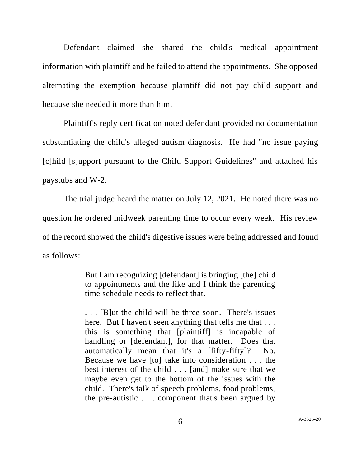Defendant claimed she shared the child's medical appointment information with plaintiff and he failed to attend the appointments. She opposed alternating the exemption because plaintiff did not pay child support and because she needed it more than him.

Plaintiff's reply certification noted defendant provided no documentation substantiating the child's alleged autism diagnosis. He had "no issue paying [c]hild [s]upport pursuant to the Child Support Guidelines" and attached his paystubs and W-2.

The trial judge heard the matter on July 12, 2021. He noted there was no question he ordered midweek parenting time to occur every week. His review of the record showed the child's digestive issues were being addressed and found as follows:

> But I am recognizing [defendant] is bringing [the] child to appointments and the like and I think the parenting time schedule needs to reflect that.

> . . . [B]ut the child will be three soon. There's issues here. But I haven't seen anything that tells me that ... this is something that [plaintiff] is incapable of handling or [defendant], for that matter. Does that automatically mean that it's a [fifty-fifty]? No. Because we have [to] take into consideration . . . the best interest of the child . . . [and] make sure that we maybe even get to the bottom of the issues with the child. There's talk of speech problems, food problems, the pre-autistic . . . component that's been argued by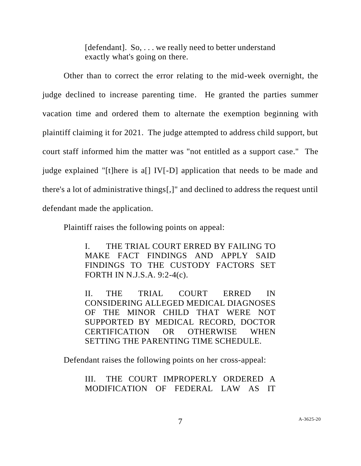[defendant]. So, . . . we really need to better understand exactly what's going on there.

Other than to correct the error relating to the mid-week overnight, the judge declined to increase parenting time. He granted the parties summer vacation time and ordered them to alternate the exemption beginning with plaintiff claiming it for 2021. The judge attempted to address child support, but court staff informed him the matter was "not entitled as a support case." The judge explained "[t]here is a[] IV[-D] application that needs to be made and there's a lot of administrative things[,]" and declined to address the request until defendant made the application.

Plaintiff raises the following points on appeal:

I. THE TRIAL COURT ERRED BY FAILING TO MAKE FACT FINDINGS AND APPLY SAID FINDINGS TO THE CUSTODY FACTORS SET FORTH IN N.J.S.A. 9:2-4(c).

II. THE TRIAL COURT ERRED IN CONSIDERING ALLEGED MEDICAL DIAGNOSES OF THE MINOR CHILD THAT WERE NOT SUPPORTED BY MEDICAL RECORD, DOCTOR CERTIFICATION OR OTHERWISE WHEN SETTING THE PARENTING TIME SCHEDULE.

Defendant raises the following points on her cross-appeal:

III. THE COURT IMPROPERLY ORDERED A MODIFICATION OF FEDERAL LAW AS IT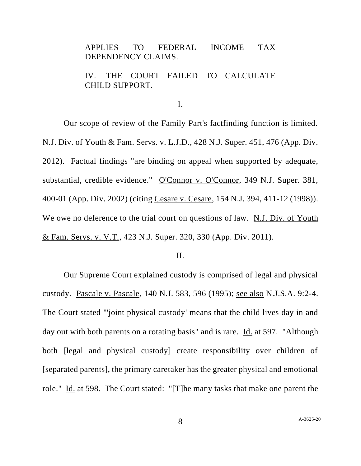# APPLIES TO FEDERAL INCOME TAX DEPENDENCY CLAIMS.

## IV. THE COURT FAILED TO CALCULATE CHILD SUPPORT.

I.

Our scope of review of the Family Part's factfinding function is limited. N.J. Div. of Youth & Fam. Servs. v. L.J.D., 428 N.J. Super. 451, 476 (App. Div. 2012). Factual findings "are binding on appeal when supported by adequate, substantial, credible evidence." O'Connor v. O'Connor, 349 N.J. Super. 381, 400-01 (App. Div. 2002) (citing Cesare v. Cesare, 154 N.J. 394, 411-12 (1998)). We owe no deference to the trial court on questions of law. N.J. Div. of Youth & Fam. Servs. v. V.T., 423 N.J. Super. 320, 330 (App. Div. 2011).

### II.

Our Supreme Court explained custody is comprised of legal and physical custody. Pascale v. Pascale, 140 N.J. 583, 596 (1995); see also N.J.S.A. 9:2-4. The Court stated "'joint physical custody' means that the child lives day in and day out with both parents on a rotating basis" and is rare. Id. at 597. "Although both [legal and physical custody] create responsibility over children of [separated parents], the primary caretaker has the greater physical and emotional role." Id. at 598. The Court stated: "[T]he many tasks that make one parent the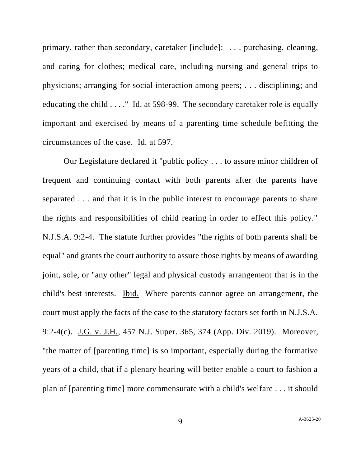primary, rather than secondary, caretaker [include]: . . . purchasing, cleaning, and caring for clothes; medical care, including nursing and general trips to physicians; arranging for social interaction among peers; . . . disciplining; and educating the child . . . ." Id. at 598-99. The secondary caretaker role is equally important and exercised by means of a parenting time schedule befitting the circumstances of the case. Id. at 597.

Our Legislature declared it "public policy . . . to assure minor children of frequent and continuing contact with both parents after the parents have separated . . . and that it is in the public interest to encourage parents to share the rights and responsibilities of child rearing in order to effect this policy." N.J.S.A. 9:2-4. The statute further provides "the rights of both parents shall be equal" and grants the court authority to assure those rights by means of awarding joint, sole, or "any other" legal and physical custody arrangement that is in the child's best interests. **Ibid.** Where parents cannot agree on arrangement, the court must apply the facts of the case to the statutory factors set forth in N.J.S.A. 9:2-4(c). J.G. v. J.H., 457 N.J. Super. 365, 374 (App. Div. 2019). Moreover, "the matter of [parenting time] is so important, especially during the formative years of a child, that if a plenary hearing will better enable a court to fashion a plan of [parenting time] more commensurate with a child's welfare . . . it should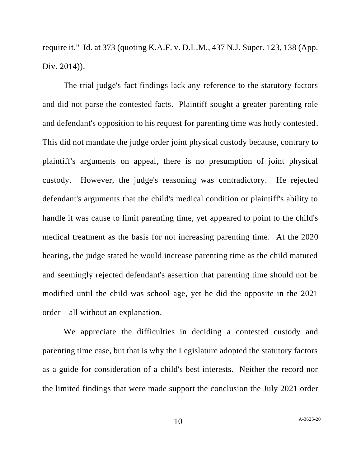require it." Id. at 373 (quoting K.A.F. v. D.L.M., 437 N.J. Super. 123, 138 (App. Div. 2014)).

The trial judge's fact findings lack any reference to the statutory factors and did not parse the contested facts. Plaintiff sought a greater parenting role and defendant's opposition to his request for parenting time was hotly contested. This did not mandate the judge order joint physical custody because, contrary to plaintiff's arguments on appeal, there is no presumption of joint physical custody. However, the judge's reasoning was contradictory. He rejected defendant's arguments that the child's medical condition or plaintiff's ability to handle it was cause to limit parenting time, yet appeared to point to the child's medical treatment as the basis for not increasing parenting time. At the 2020 hearing, the judge stated he would increase parenting time as the child matured and seemingly rejected defendant's assertion that parenting time should not be modified until the child was school age, yet he did the opposite in the 2021 order—all without an explanation.

We appreciate the difficulties in deciding a contested custody and parenting time case, but that is why the Legislature adopted the statutory factors as a guide for consideration of a child's best interests. Neither the record nor the limited findings that were made support the conclusion the July 2021 order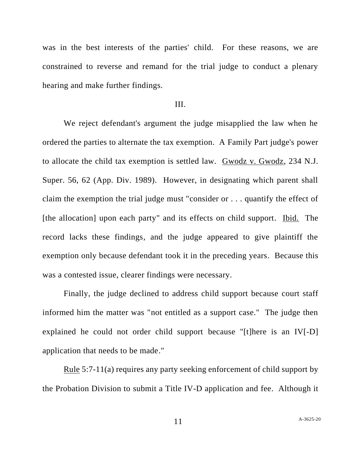was in the best interests of the parties' child. For these reasons, we are constrained to reverse and remand for the trial judge to conduct a plenary hearing and make further findings.

### III.

We reject defendant's argument the judge misapplied the law when he ordered the parties to alternate the tax exemption. A Family Part judge's power to allocate the child tax exemption is settled law. Gwodz v. Gwodz, 234 N.J. Super. 56, 62 (App. Div. 1989). However, in designating which parent shall claim the exemption the trial judge must "consider or . . . quantify the effect of [the allocation] upon each party" and its effects on child support. Ibid. The record lacks these findings, and the judge appeared to give plaintiff the exemption only because defendant took it in the preceding years. Because this was a contested issue, clearer findings were necessary.

Finally, the judge declined to address child support because court staff informed him the matter was "not entitled as a support case." The judge then explained he could not order child support because "[t]here is an IV[-D] application that needs to be made."

Rule 5:7-11(a) requires any party seeking enforcement of child support by the Probation Division to submit a Title IV-D application and fee. Although it